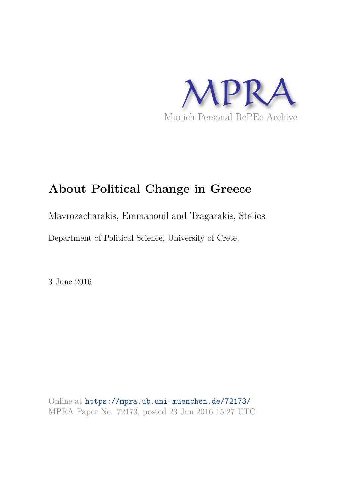

# **About Political Change in Greece**

Mavrozacharakis, Emmanouil and Tzagarakis, Stelios

Department of Political Science, University of Crete,

3 June 2016

Online at https://mpra.ub.uni-muenchen.de/72173/ MPRA Paper No. 72173, posted 23 Jun 2016 15:27 UTC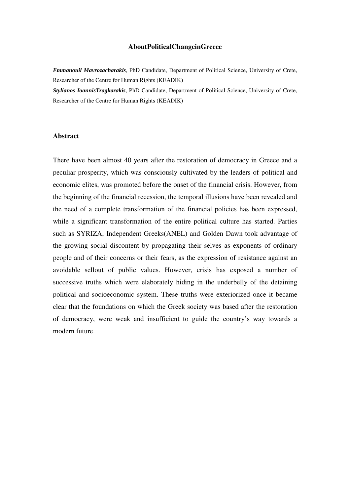# **AboutPoliticalChangeinGreece**

*Emmanouil Mavrozacharakis*, PhD Candidate, Department of Political Science, University of Crete, Researcher of the Centre for Human Rights (KEADIK)

*Stylianos IoannisTzagkarakis*, PhD Candidate, Department of Political Science, University of Crete, Researcher of the Centre for Human Rights (KEADIK)

#### **Abstract**

There have been almost 40 years after the restoration of democracy in Greece and a peculiar prosperity, which was consciously cultivated by the leaders of political and economic elites, was promoted before the onset of the financial crisis. However, from the beginning of the financial recession, the temporal illusions have been revealed and the need of a complete transformation of the financial policies has been expressed, while a significant transformation of the entire political culture has started. Parties such as SYRIZA, Independent Greeks(ANEL) and Golden Dawn took advantage of the growing social discontent by propagating their selves as exponents of ordinary people and of their concerns or their fears, as the expression of resistance against an avoidable sellout of public values. However, crisis has exposed a number of successive truths which were elaborately hiding in the underbelly of the detaining political and socioeconomic system. These truths were exteriorized once it became clear that the foundations on which the Greek society was based after the restoration of democracy, were weak and insufficient to guide the country's way towards a modern future.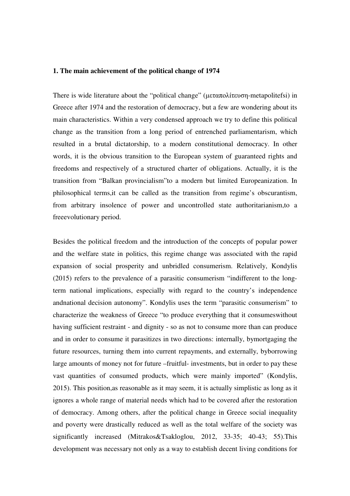#### **1. The main achievement of the political change of 1974**

There is wide literature about the "political change" (µεταπολίτευση-metapolitefsi) in Greece after 1974 and the restoration of democracy, but a few are wondering about its main characteristics. Within a very condensed approach we try to define this political change as the transition from a long period of entrenched parliamentarism, which resulted in a brutal dictatorship, to a modern constitutional democracy. In other words, it is the obvious transition to the European system of guaranteed rights and freedoms and respectively of a structured charter of obligations. Actually, it is the transition from "Balkan provincialism"to a modern but limited Europeanization. In philosophical terms,it can be called as the transition from regime's obscurantism, from arbitrary insolence of power and uncontrolled state authoritarianism,to a freeevolutionary period.

Besides the political freedom and the introduction of the concepts of popular power and the welfare state in politics, this regime change was associated with the rapid expansion of social prosperity and unbridled consumerism. Relatively, Kondylis (2015) refers to the prevalence of a parasitic consumerism "indifferent to the longterm national implications, especially with regard to the country's independence andnational decision autonomy". Kondylis uses the term "parasitic consumerism" to characterize the weakness of Greece "to produce everything that it consumeswithout having sufficient restraint - and dignity - so as not to consume more than can produce and in order to consume it parasitizes in two directions: internally, bymortgaging the future resources, turning them into current repayments, and externally, byborrowing large amounts of money not for future –fruitful- investments, but in order to pay these vast quantities of consumed products, which were mainly imported" (Kondylis, 2015). This position,as reasonable as it may seem, it is actually simplistic as long as it ignores a whole range of material needs which had to be covered after the restoration of democracy. Among others, after the political change in Greece social inequality and poverty were drastically reduced as well as the total welfare of the society was significantly increased (Mitrakos&Tsakloglou, 2012, 33-35; 40-43; 55).This development was necessary not only as a way to establish decent living conditions for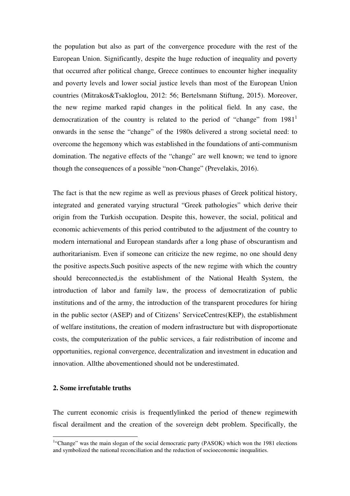the population but also as part of the convergence procedure with the rest of the European Union. Significantly, despite the huge reduction of inequality and poverty that occurred after political change, Greece continues to encounter higher inequality and poverty levels and lower social justice levels than most of the European Union countries (Mitrakos&Tsakloglou, 2012: 56; Bertelsmann Stiftung, 2015). Moreover, the new regime marked rapid changes in the political field. In any case, the democratization of the country is related to the period of "change" from  $1981<sup>1</sup>$ onwards in the sense the "change" of the 1980s delivered a strong societal need: to overcome the hegemony which was established in the foundations of anti-communism domination. The negative effects of the "change" are well known; we tend to ignore though the consequences of a possible "non-Change" (Prevelakis, 2016).

The fact is that the new regime as well as previous phases of Greek political history, integrated and generated varying structural "Greek pathologies" which derive their origin from the Turkish occupation. Despite this, however, the social, political and economic achievements of this period contributed to the adjustment of the country to modern international and European standards after a long phase of obscurantism and authoritarianism. Even if someone can criticize the new regime, no one should deny the positive aspects.Such positive aspects of the new regime with which the country should bereconnected,is the establishment of the National Health System, the introduction of labor and family law, the process of democratization of public institutions and of the army, the introduction of the transparent procedures for hiring in the public sector (ASEP) and of Citizens' ServiceCentres(KEP), the establishment of welfare institutions, the creation of modern infrastructure but with disproportionate costs, the computerization of the public services, a fair redistribution of income and opportunities, regional convergence, decentralization and investment in education and innovation. Allthe abovementioned should not be underestimated.

#### **2. Some irrefutable truths**

 $\overline{a}$ 

The current economic crisis is frequentlylinked the period of thenew regimewith fiscal derailment and the creation of the sovereign debt problem. Specifically, the

<sup>&</sup>lt;sup>1</sup>"Change" was the main slogan of the social democratic party (PASOK) which won the 1981 elections and symbolized the national reconciliation and the reduction of socioeconomic inequalities.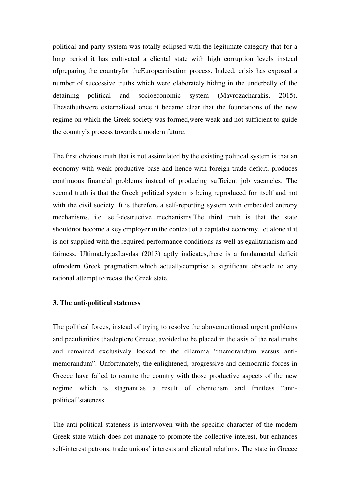political and party system was totally eclipsed with the legitimate category that for a long period it has cultivated a cliental state with high corruption levels instead ofpreparing the countryfor theEuropeanisation process. Indeed, crisis has exposed a number of successive truths which were elaborately hiding in the underbelly of the detaining political and socioeconomic system (Mavrozacharakis, 2015). Thesethuthwere externalized once it became clear that the foundations of the new regime on which the Greek society was formed,were weak and not sufficient to guide the country's process towards a modern future.

The first obvious truth that is not assimilated by the existing political system is that an economy with weak productive base and hence with foreign trade deficit, produces continuous financial problems instead of producing sufficient job vacancies. The second truth is that the Greek political system is being reproduced for itself and not with the civil society. It is therefore a self-reporting system with embedded entropy mechanisms, i.e. self-destructive mechanisms.The third truth is that the state shouldnot become a key employer in the context of a capitalist economy, let alone if it is not supplied with the required performance conditions as well as egalitarianism and fairness. Ultimately,asLavdas (2013) aptly indicates,there is a fundamental deficit ofmodern Greek pragmatism,which actuallycomprise a significant obstacle to any rational attempt to recast the Greek state.

# **3. The anti-political stateness**

The political forces, instead of trying to resolve the abovementioned urgent problems and peculiarities thatdeplore Greece, avoided to be placed in the axis of the real truths and remained exclusively locked to the dilemma "memorandum versus antimemorandum". Unfortunately, the enlightened, progressive and democratic forces in Greece have failed to reunite the country with those productive aspects of the new regime which is stagnant,as a result of clientelism and fruitless "antipolitical"stateness.

The anti-political stateness is interwoven with the specific character of the modern Greek state which does not manage to promote the collective interest, but enhances self-interest patrons, trade unions' interests and cliental relations. The state in Greece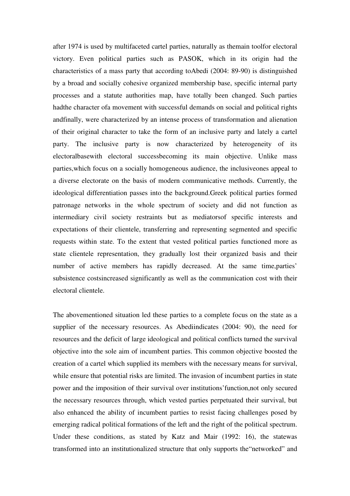after 1974 is used by multifaceted cartel parties, naturally as themain toolfor electoral victory. Even political parties such as PASOK, which in its origin had the characteristics of a mass party that according toAbedi (2004: 89-90) is distinguished by a broad and socially cohesive organized membership base, specific internal party processes and a statute authorities map, have totally been changed. Such parties hadthe character ofa movement with successful demands on social and political rights andfinally, were characterized by an intense process of transformation and alienation of their original character to take the form of an inclusive party and lately a cartel party. The inclusive party is now characterized by heterogeneity of its electoralbasewith electoral successbecoming its main objective. Unlike mass parties,which focus on a socially homogeneous audience, the inclusiveones appeal to a diverse electorate on the basis of modern communicative methods. Currently, the ideological differentiation passes into the background.Greek political parties formed patronage networks in the whole spectrum of society and did not function as intermediary civil society restraints but as mediatorsof specific interests and expectations of their clientele, transferring and representing segmented and specific requests within state. To the extent that vested political parties functioned more as state clientele representation, they gradually lost their organized basis and their number of active members has rapidly decreased. At the same time,parties' subsistence costsincreased significantly as well as the communication cost with their electoral clientele.

The abovementioned situation led these parties to a complete focus on the state as a supplier of the necessary resources. As Abediindicates (2004: 90), the need for resources and the deficit of large ideological and political conflicts turned the survival objective into the sole aim of incumbent parties. This common objective boosted the creation of a cartel which supplied its members with the necessary means for survival, while ensure that potential risks are limited. The invasion of incumbent parties in state power and the imposition of their survival over institutions'function,not only secured the necessary resources through, which vested parties perpetuated their survival, but also enhanced the ability of incumbent parties to resist facing challenges posed by emerging radical political formations of the left and the right of the political spectrum. Under these conditions, as stated by Katz and Mair (1992: 16), the statewas transformed into an institutionalized structure that only supports the"networked" and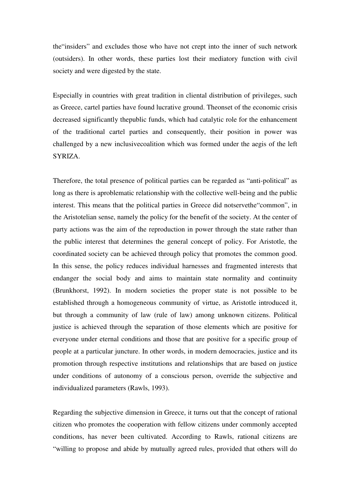the"insiders" and excludes those who have not crept into the inner of such network (outsiders). In other words, these parties lost their mediatory function with civil society and were digested by the state.

Especially in countries with great tradition in cliental distribution of privileges, such as Greece, cartel parties have found lucrative ground. Theonset of the economic crisis decreased significantly thepublic funds, which had catalytic role for the enhancement of the traditional cartel parties and consequently, their position in power was challenged by a new inclusivecoalition which was formed under the aegis of the left SYRIZA.

Therefore, the total presence of political parties can be regarded as "anti-political" as long as there is aproblematic relationship with the collective well-being and the public interest. This means that the political parties in Greece did notservethe"common", in the Aristotelian sense, namely the policy for the benefit of the society. At the center of party actions was the aim of the reproduction in power through the state rather than the public interest that determines the general concept of policy. For Aristotle, the coordinated society can be achieved through policy that promotes the common good. In this sense, the policy reduces individual harnesses and fragmented interests that endanger the social body and aims to maintain state normality and continuity (Brunkhorst, 1992). In modern societies the proper state is not possible to be established through a homogeneous community of virtue, as Aristotle introduced it, but through a community of law (rule of law) among unknown citizens. Political justice is achieved through the separation of those elements which are positive for everyone under eternal conditions and those that are positive for a specific group of people at a particular juncture. In other words, in modern democracies, justice and its promotion through respective institutions and relationships that are based on justice under conditions of autonomy of a conscious person, override the subjective and individualized parameters (Rawls, 1993).

Regarding the subjective dimension in Greece, it turns out that the concept of rational citizen who promotes the cooperation with fellow citizens under commonly accepted conditions, has never been cultivated. According to Rawls, rational citizens are "willing to propose and abide by mutually agreed rules, provided that others will do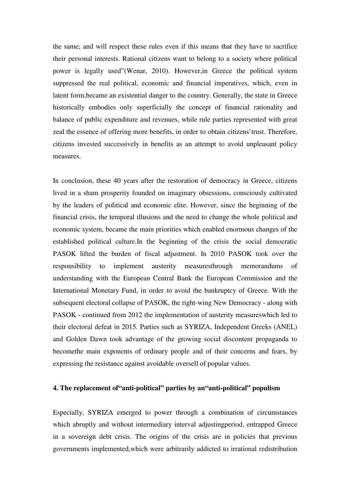the same; and will respect these rules even if this means that they have to sacrifice their personal interests. Rational citizens want to belong to a society where political power is legally used"(Wenar, 2010). However,in Greece the political system suppressed the real political, economic and financial imperatives, which, even in latent form,became an existential danger to the country. Generally, the state in Greece historically embodies only superficially the concept of financial rationality and balance of public expenditure and revenues, while rule parties represented with great zeal the essence of offering more benefits, in order to obtain citizens'trust. Therefore, citizens invested successively in benefits as an attempt to avoid unpleasant policy measures.

In conclusion, these 40 years after the restoration of democracy in Greece, citizens lived in a sham prosperity founded on imaginary obsessions, consciously cultivated by the leaders of political and economic elite. However, since the beginning of the financial crisis, the temporal illusions and the need to change the whole political and economic system, became the main priorities which enabled enormous changes of the established political culture.In the beginning of the crisis the social democratic PASOK lifted the burden of fiscal adjustment. In 2010 PASOK took over the responsibility to implement austerity measuresthrough memorandums of understanding with the European Central Bank the European Commission and the International Monetary Fund, in order to avoid the bankruptcy of Greece. With the subsequent electoral collapse of PASOK, the right-wing New Democracy - along with PASOK - continued from 2012 the implementation of austerity measureswhich led to their electoral defeat in 2015. Parties such as SYRIZA, Independent Greeks (ANEL) and Golden Dawn took advantage of the growing social discontent propaganda to becomethe main exponents of ordinary people and of their concerns and fears, by expressing the resistance against avoidable oversell of popular values.

# **4. The replacement of"anti-political" parties by an"anti-political" populism**

Especially, SYRIZA emerged to power through a combination of circumstances which abruptly and without intermediary interval adjustingperiod, entrapped Greece in a sovereign debt crisis. The origins of the crisis are in policies that previous governments implemented,which were arbitrarily addicted to irrational redistribution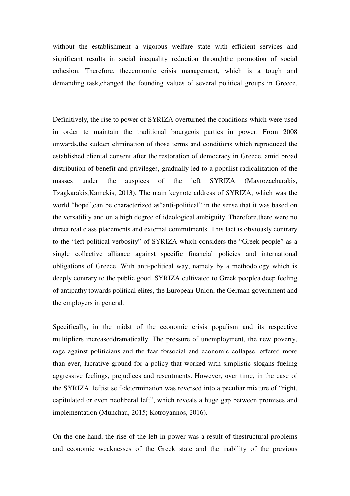without the establishment a vigorous welfare state with efficient services and significant results in social inequality reduction throughthe promotion of social cohesion. Therefore, theeconomic crisis management, which is a tough and demanding task,changed the founding values of several political groups in Greece.

Definitively, the rise to power of SYRIZA overturned the conditions which were used in order to maintain the traditional bourgeois parties in power. From 2008 onwards,the sudden elimination of those terms and conditions which reproduced the established cliental consent after the restoration of democracy in Greece, amid broad distribution of benefit and privileges, gradually led to a populist radicalization of the masses under the auspices of the left SYRIZA (Mavrozacharakis, Tzagkarakis,Kamekis, 2013). The main keynote address of SYRIZA, which was the world "hope", can be characterized as "anti-political" in the sense that it was based on the versatility and on a high degree of ideological ambiguity. Therefore,there were no direct real class placements and external commitments. This fact is obviously contrary to the "left political verbosity" of SYRIZA which considers the "Greek people" as a single collective alliance against specific financial policies and international obligations of Greece. With anti-political way, namely by a methodology which is deeply contrary to the public good, SYRIZA cultivated to Greek peoplea deep feeling of antipathy towards political elites, the European Union, the German government and the employers in general.

Specifically, in the midst of the economic crisis populism and its respective multipliers increaseddramatically. The pressure of unemployment, the new poverty, rage against politicians and the fear forsocial and economic collapse, offered more than ever, lucrative ground for a policy that worked with simplistic slogans fueling aggressive feelings, prejudices and resentments. However, over time, in the case of the SYRIZA, leftist self-determination was reversed into a peculiar mixture of "right, capitulated or even neoliberal left", which reveals a huge gap between promises and implementation (Munchau, 2015; Kotroyannos, 2016).

On the one hand, the rise of the left in power was a result of thestructural problems and economic weaknesses of the Greek state and the inability of the previous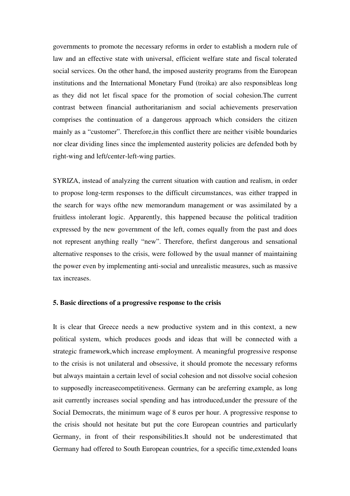governments to promote the necessary reforms in order to establish a modern rule of law and an effective state with universal, efficient welfare state and fiscal tolerated social services. On the other hand, the imposed austerity programs from the European institutions and the International Monetary Fund (troika) are also responsibleas long as they did not let fiscal space for the promotion of social cohesion.The current contrast between financial authoritarianism and social achievements preservation comprises the continuation of a dangerous approach which considers the citizen mainly as a "customer". Therefore,in this conflict there are neither visible boundaries nor clear dividing lines since the implemented austerity policies are defended both by right-wing and left/center-left-wing parties.

SYRIZA, instead of analyzing the current situation with caution and realism, in order to propose long-term responses to the difficult circumstances, was either trapped in the search for ways ofthe new memorandum management or was assimilated by a fruitless intolerant logic. Apparently, this happened because the political tradition expressed by the new government of the left, comes equally from the past and does not represent anything really "new". Therefore, thefirst dangerous and sensational alternative responses to the crisis, were followed by the usual manner of maintaining the power even by implementing anti-social and unrealistic measures, such as massive tax increases.

#### **5. Basic directions of a progressive response to the crisis**

It is clear that Greece needs a new productive system and in this context, a new political system, which produces goods and ideas that will be connected with a strategic framework,which increase employment. A meaningful progressive response to the crisis is not unilateral and obsessive, it should promote the necessary reforms but always maintain a certain level of social cohesion and not dissolve social cohesion to supposedly increasecompetitiveness. Germany can be areferring example, as long asit currently increases social spending and has introduced,under the pressure of the Social Democrats, the minimum wage of 8 euros per hour. A progressive response to the crisis should not hesitate but put the core European countries and particularly Germany, in front of their responsibilities.It should not be underestimated that Germany had offered to South European countries, for a specific time,extended loans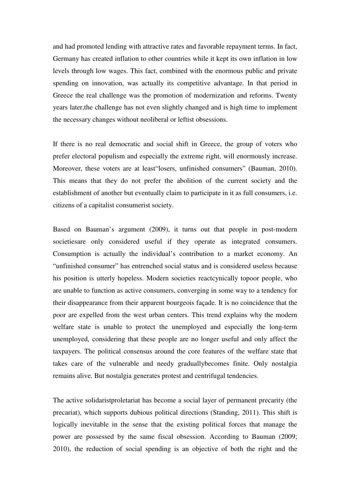and had promoted lending with attractive rates and favorable repayment terms. In fact, Germany has created inflation to other countries while it kept its own inflation in low levels through low wages. This fact, combined with the enormous public and private spending on innovation, was actually its competitive advantage. In that period in Greece the real challenge was the promotion of modernization and reforms. Twenty years later,the challenge has not even slightly changed and is high time to implement the necessary changes without neoliberal or leftist obsessions.

If there is no real democratic and social shift in Greece, the group of voters who prefer electoral populism and especially the extreme right, will enormously increase. Moreover, these voters are at least"losers, unfinished consumers" (Bauman, 2010). This means that they do not prefer the abolition of the current society and the establishment of another but eventually claim to participate in it as full consumers, i.e. citizens of a capitalist consumerist society.

Based on Bauman's argument (2009), it turns out that people in post-modern societiesare only considered useful if they operate as integrated consumers. Consumption is actually the individual's contribution to a market economy. An "unfinished consumer" has entrenched social status and is considered useless because his position is utterly hopeless. Modern societies reactcynically topoor people, who are unable to function as active consumers, converging in some way to a tendency for their disappearance from their apparent bourgeois façade. It is no coincidence that the poor are expelled from the west urban centers. This trend explains why the modern welfare state is unable to protect the unemployed and especially the long-term unemployed, considering that these people are no longer useful and only affect the taxpayers. The political consensus around the core features of the welfare state that takes care of the vulnerable and needy graduallybecomes finite. Only nostalgia remains alive. But nostalgia generates protest and centrifugal tendencies.

The active solidaristproletariat has become a social layer of permanent precarity (the precariat), which supports dubious political directions (Standing, 2011). This shift is logically inevitable in the sense that the existing political forces that manage the power are possessed by the same fiscal obsession. According to Bauman (2009; 2010), the reduction of social spending is an objective of both the right and the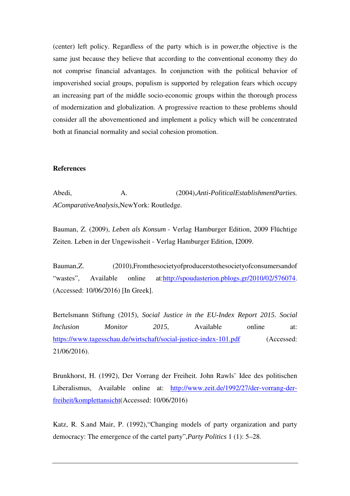(center) left policy. Regardless of the party which is in power,the objective is the same just because they believe that according to the conventional economy they do not comprise financial advantages. In conjunction with the political behavior of impoverished social groups, populism is supported by relegation fears which occupy an increasing part of the middle socio-economic groups within the thorough process of modernization and globalization. A progressive reaction to these problems should consider all the abovementioned and implement a policy which will be concentrated both at financial normality and social cohesion promotion.

# **References**

Abedi, A. (2004),*Anti-PoliticalEstablishmentParties. AComparativeAnalysis,*NewYork: Routledge.

Bauman, Z. (2009), *Leben als Konsum* - Verlag Hamburger Edition, 2009 Flüchtige Zeiten. Leben in der Ungewissheit - Verlag Hamburger Edition, I2009.

Bauman,Z. (2010),Fromthesocietyofproducerstothesocietyofconsumersandof "wastes", Available online at:http://spoudasterion.pblogs.gr/2010/02/576074. (Accessed: 10/06/2016) [In Greek].

Bertelsmann Stiftung (2015), *Social Justice in the EU-Index Report 2015. Social Inclusion Monitor 2015*, Available online at: https://www.tagesschau.de/wirtschaft/social-justice-index-101.pdf (Accessed: 21/06/2016).

Brunkhorst, H. (1992), Der Vorrang der Freiheit. John Rawls' Idee des politischen Liberalismus, Available online at: http://www.zeit.de/1992/27/der-vorrang-derfreiheit/komplettansicht(Accessed: 10/06/2016)

Katz, R. S.and Mair, P. (1992),"Changing models of party organization and party democracy: The emergence of the cartel party",*Party Politics* 1 (1): 5–28.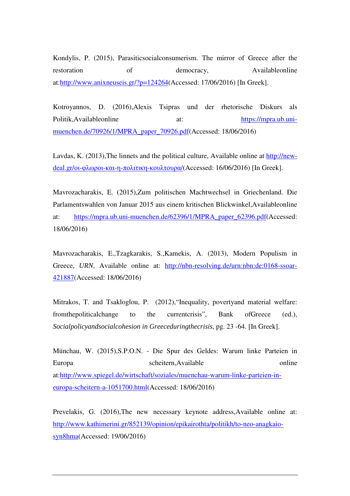Kondylis, P. (2015), Parasiticsocialconsumerism. The mirror of Greece after the restoration of democracy, Availableonline at:http://www.anixneuseis.gr/?p=124264(Accessed: 17/06/2016) [In Greek].

Kotroyannos, D. (2016),Alexis Tsipras und der rhetorische Diskurs als Politik,Availableonline at: https://mpra.ub.unimuenchen.de/70926/1/MPRA\_paper\_70926.pdf(Accessed: 18/06/2016)

Lavdas, K. (2013), The linnets and the political culture, Available online at http://newdeal.gr/οι-φλωροι-και-η-πολιτικη-κουλτουρα/(Accessed: 16/06/2016) [In Greek].

Mavrozacharakis, E. (2015),Zum politischen Machtwechsel in Griechenland. Die Parlamentswahlen von Januar 2015 aus einem kritischen Blickwinkel,Availableonline at: https://mpra.ub.uni-muenchen.de/62396/1/MPRA\_paper\_62396.pdf(Accessed: 18/06/2016)

Mavrozacharakis, E.,Tzagkarakis, S.,Kamekis, A. (2013), Modern Populism in Greece, *URN*, Available online at: http://nbn-resolving.de/urn:nbn:de:0168-ssoar-421887(Accessed: 18/06/2016)

Mitrakos, T. and Tsakloglou, P. (2012),"Inequality, povertyand material welfare: fromthepoliticalchange to the currentcrisis", Bank ofGreece (ed.), *Socialpolicyandsocialcohesion in Greeceduringthecrisis*, pg. 23 -64. [In Greek].

Münchau, W. (2015),S.P.O.N. - Die Spur des Geldes: Warum linke Parteien in Europa scheitern,Available online at:http://www.spiegel.de/wirtschaft/soziales/muenchau-warum-linke-parteien-ineuropa-scheitern-a-1051700.html(Accessed: 18/06/2016)

Prevelakis, G. (2016),The new necessary keynote address,Available online at: http://www.kathimerini.gr/852139/opinion/epikairothta/politikh/to-neo-anagkaiosyn8hma(Accessed: 19/06/2016)